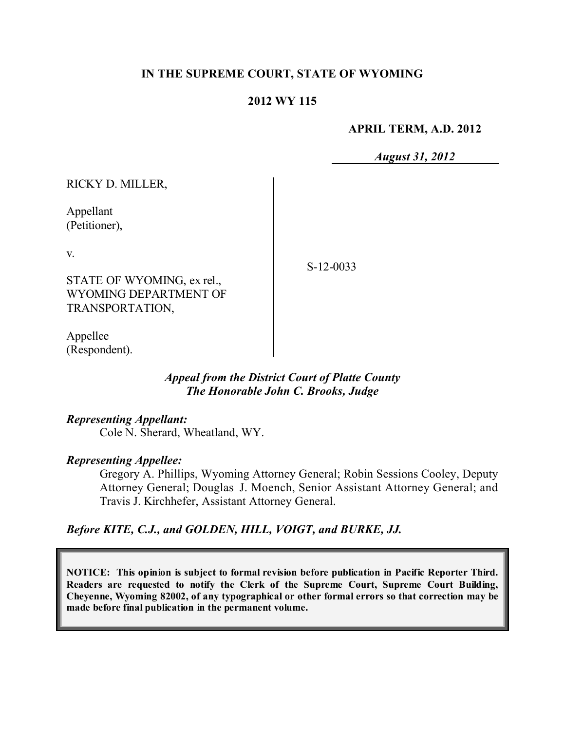## **IN THE SUPREME COURT, STATE OF WYOMING**

### **2012 WY 115**

#### **APRIL TERM, A.D. 2012**

*August 31, 2012*

| RICKY D. MILLER,           |             |
|----------------------------|-------------|
| Appellant<br>(Petitioner), |             |
| V.                         | $S-12-0033$ |
| STATE OF WYOMING, ex rel., |             |
| WYOMING DEPARTMENT OF      |             |
| TRANSPORTATION,            |             |
| $\Delta$ nnolloo           |             |

Appellee (Respondent).

## *Appeal from the District Court of Platte County The Honorable John C. Brooks, Judge*

#### *Representing Appellant:*

Cole N. Sherard, Wheatland, WY.

#### *Representing Appellee:*

Gregory A. Phillips, Wyoming Attorney General; Robin Sessions Cooley, Deputy Attorney General; Douglas J. Moench, Senior Assistant Attorney General; and Travis J. Kirchhefer, Assistant Attorney General.

#### *Before KITE, C.J., and GOLDEN, HILL, VOIGT, and BURKE, JJ.*

**NOTICE: This opinion is subject to formal revision before publication in Pacific Reporter Third. Readers are requested to notify the Clerk of the Supreme Court, Supreme Court Building, Cheyenne, Wyoming 82002, of any typographical or other formal errors so that correction may be made before final publication in the permanent volume.**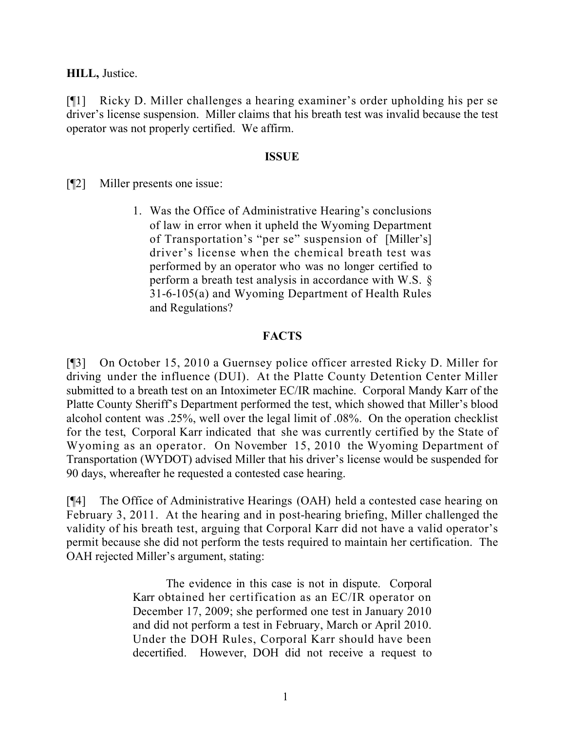**HILL,** Justice.

[¶1] Ricky D. Miller challenges a hearing examiner's order upholding his per se driver's license suspension. Miller claims that his breath test was invalid because the test operator was not properly certified. We affirm.

## **ISSUE**

[¶2] Miller presents one issue:

1. Was the Office of Administrative Hearing's conclusions of law in error when it upheld the Wyoming Department of Transportation's "per se" suspension of [Miller's] driver's license when the chemical breath test was performed by an operator who was no longer certified to perform a breath test analysis in accordance with W.S. § 31-6-105(a) and Wyoming Department of Health Rules and Regulations?

## **FACTS**

[¶3] On October 15, 2010 a Guernsey police officer arrested Ricky D. Miller for driving under the influence (DUI). At the Platte County Detention Center Miller submitted to a breath test on an Intoximeter EC/IR machine. Corporal Mandy Karr of the Platte County Sheriff's Department performed the test, which showed that Miller's blood alcohol content was .25%, well over the legal limit of .08%. On the operation checklist for the test, Corporal Karr indicated that she was currently certified by the State of Wyoming as an operator. On November 15, 2010 the Wyoming Department of Transportation (WYDOT) advised Miller that his driver's license would be suspended for 90 days, whereafter he requested a contested case hearing.

[¶4] The Office of Administrative Hearings (OAH) held a contested case hearing on February 3, 2011. At the hearing and in post-hearing briefing, Miller challenged the validity of his breath test, arguing that Corporal Karr did not have a valid operator's permit because she did not perform the tests required to maintain her certification. The OAH rejected Miller's argument, stating:

> The evidence in this case is not in dispute. Corporal Karr obtained her certification as an EC/IR operator on December 17, 2009; she performed one test in January 2010 and did not perform a test in February, March or April 2010. Under the DOH Rules, Corporal Karr should have been decertified. However, DOH did not receive a request to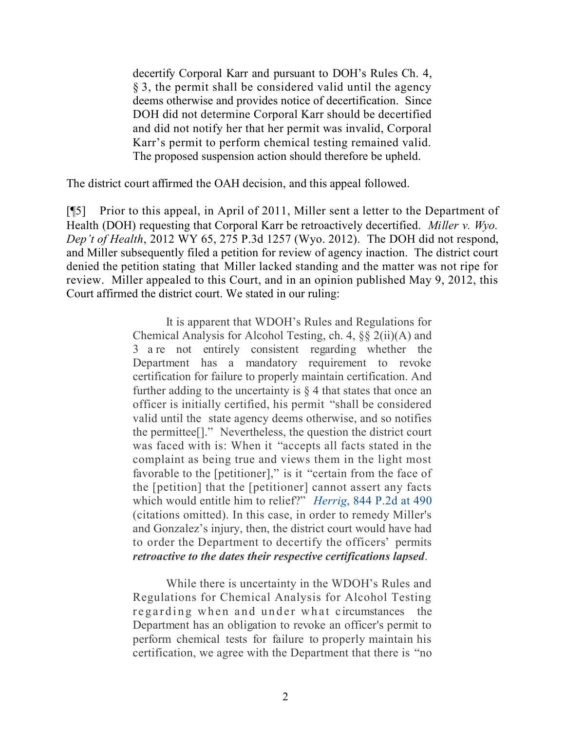decertify Corporal Karr and pursuant to DOH's Rules Ch. 4, § 3, the permit shall be considered valid until the agency deems otherwise and provides notice of decertification. Since DOH did not determine Corporal Karr should be decertified and did not notify her that her permit was invalid, Corporal Karr's permit to perform chemical testing remained valid. The proposed suspension action should therefore be upheld.

The district court affirmed the OAH decision, and this appeal followed.

[¶5] Prior to this appeal, in April of 2011, Miller sent a letter to the Department of Health (DOH) requesting that Corporal Karr be retroactively decertified. *Miller v. Wyo. Dep't of Health*, 2012 WY 65, 275 P.3d 1257 (Wyo. 2012). The DOH did not respond, and Miller subsequently filed a petition for review of agency inaction. The district court denied the petition stating that Miller lacked standing and the matter was not ripe for review. Miller appealed to this Court, and in an opinion published May 9, 2012, this Court affirmed the district court. We stated in our ruling:

> It is apparent that WDOH's Rules and Regulations for Chemical Analysis for Alcohol Testing, ch. 4, §§ 2(ii)(A) and 3 are not entirely consistent regarding whether the Department has a mandatory requirement to revoke certification for failure to properly maintain certification. And further adding to the uncertainty is  $\S 4$  that states that once an officer is initially certified, his permit "shall be considered valid until the state agency deems otherwise, and so notifies the permittee[]." Nevertheless, the question the district court was faced with is: When it "accepts all facts stated in the complaint as being true and views them in the light most favorable to the [petitioner]," is it "certain from the face of the [petition] that the [petitioner] cannot assert any facts which would entitle him to relief?" *Herrig*, 844 P.2d at 490 (citations omitted). In this case, in order to remedy Miller's and Gonzalez's injury, then, the district court would have had to order the Department to decertify the officers' permits *retroactive to the dates their respective certifications lapsed*.

While there is uncertainty in the WDOH's Rules and Regulations for Chemical Analysis for Alcohol Testing regarding when and under what circumstances the Department has an obligation to revoke an officer's permit to perform chemical tests for failure to properly maintain his certification, we agree with the Department that there is "no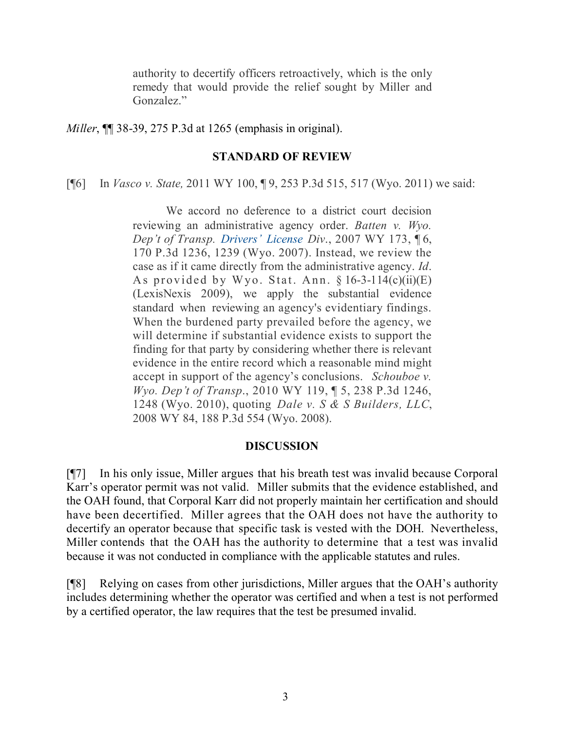authority to decertify officers retroactively, which is the only remedy that would provide the relief sought by Miller and Gonzalez."

*Miller*, ¶¶ 38-39, 275 P.3d at 1265 (emphasis in original).

### **STANDARD OF REVIEW**

[¶6] In *Vasco v. State,* 2011 WY 100, ¶ 9, 253 P.3d 515, 517 (Wyo. 2011) we said:

We accord no deference to a district court decision reviewing an administrative agency order. *Batten v. Wyo. Dep't of Transp. Drivers' License Div*., 2007 WY 173, ¶ 6, 170 P.3d 1236, 1239 (Wyo. 2007). Instead, we review the case as if it came directly from the administrative agency. *Id*. As provided by Wyo. Stat. Ann.  $§ 16-3-114(c)(ii)(E)$ (LexisNexis 2009), we apply the substantial evidence standard when reviewing an agency's evidentiary findings. When the burdened party prevailed before the agency, we will determine if substantial evidence exists to support the finding for that party by considering whether there is relevant evidence in the entire record which a reasonable mind might accept in support of the agency's conclusions. *Schouboe v. Wyo. Dep't of Transp*., 2010 WY 119, ¶ 5, 238 P.3d 1246, 1248 (Wyo. 2010), quoting *Dale v. S & S Builders, LLC*, 2008 WY 84, 188 P.3d 554 (Wyo. 2008).

#### **DISCUSSION**

[¶7] In his only issue, Miller argues that his breath test was invalid because Corporal Karr's operator permit was not valid. Miller submits that the evidence established, and the OAH found, that Corporal Karr did not properly maintain her certification and should have been decertified. Miller agrees that the OAH does not have the authority to decertify an operator because that specific task is vested with the DOH. Nevertheless, Miller contends that the OAH has the authority to determine that a test was invalid because it was not conducted in compliance with the applicable statutes and rules.

[¶8] Relying on cases from other jurisdictions, Miller argues that the OAH's authority includes determining whether the operator was certified and when a test is not performed by a certified operator, the law requires that the test be presumed invalid.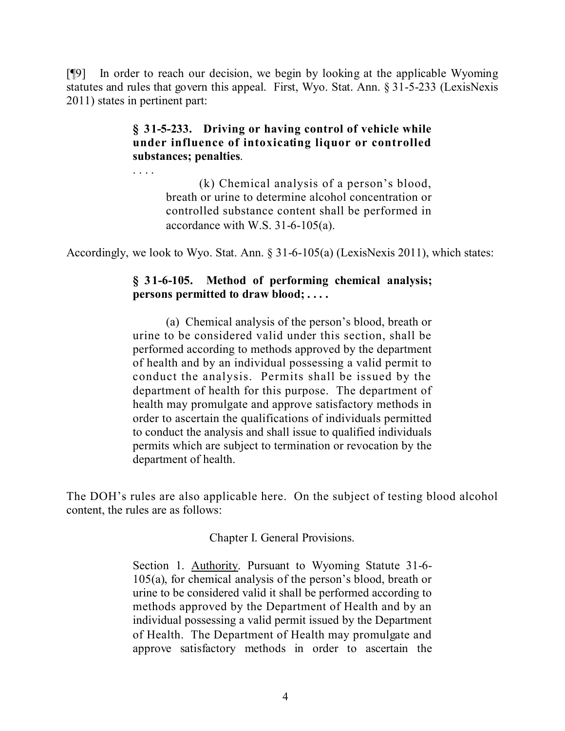[¶9] In order to reach our decision, we begin by looking at the applicable Wyoming statutes and rules that govern this appeal. First, Wyo. Stat. Ann. § 31-5-233 (LexisNexis 2011) states in pertinent part:

# **§ 31-5-233. Driving or having control of vehicle while under influence of intoxicating liquor or controlled substances; penalties**.

. . . .

(k) Chemical analysis of a person's blood, breath or urine to determine alcohol concentration or controlled substance content shall be performed in accordance with W.S. 31-6-105(a).

Accordingly, we look to Wyo. Stat. Ann. § 31-6-105(a) (LexisNexis 2011), which states:

# **§ 31-6-105. Method of performing chemical analysis; persons permitted to draw blood; . . . .**

(a) Chemical analysis of the person's blood, breath or urine to be considered valid under this section, shall be performed according to methods approved by the department of health and by an individual possessing a valid permit to conduct the analysis. Permits shall be issued by the department of health for this purpose. The department of health may promulgate and approve satisfactory methods in order to ascertain the qualifications of individuals permitted to conduct the analysis and shall issue to qualified individuals permits which are subject to termination or revocation by the department of health.

The DOH's rules are also applicable here. On the subject of testing blood alcohol content, the rules are as follows:

Chapter I. General Provisions.

Section 1. Authority. Pursuant to Wyoming Statute 31-6- 105(a), for chemical analysis of the person's blood, breath or urine to be considered valid it shall be performed according to methods approved by the Department of Health and by an individual possessing a valid permit issued by the Department of Health. The Department of Health may promulgate and approve satisfactory methods in order to ascertain the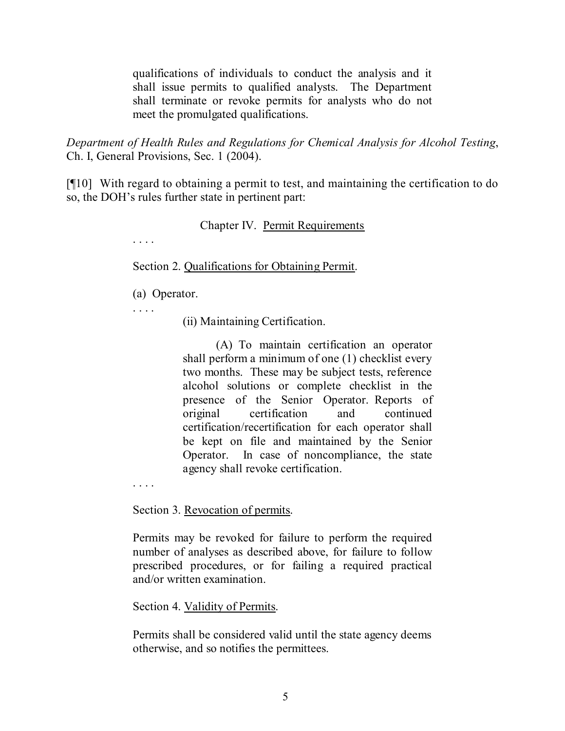qualifications of individuals to conduct the analysis and it shall issue permits to qualified analysts. The Department shall terminate or revoke permits for analysts who do not meet the promulgated qualifications.

*Department of Health Rules and Regulations for Chemical Analysis for Alcohol Testing*, Ch. I, General Provisions, Sec. 1 (2004).

[¶10] With regard to obtaining a permit to test, and maintaining the certification to do so, the DOH's rules further state in pertinent part:

# Chapter IV. Permit Requirements

Section 2. Qualifications for Obtaining Permit.

(a) Operator.

. . . .

. . . .

(ii) Maintaining Certification.

(A) To maintain certification an operator shall perform a minimum of one (1) checklist every two months. These may be subject tests, reference alcohol solutions or complete checklist in the presence of the Senior Operator. Reports of original certification and continued certification/recertification for each operator shall be kept on file and maintained by the Senior Operator. In case of noncompliance, the state agency shall revoke certification.

. . . .

Section 3. Revocation of permits.

Permits may be revoked for failure to perform the required number of analyses as described above, for failure to follow prescribed procedures, or for failing a required practical and/or written examination.

Section 4. Validity of Permits.

Permits shall be considered valid until the state agency deems otherwise, and so notifies the permittees.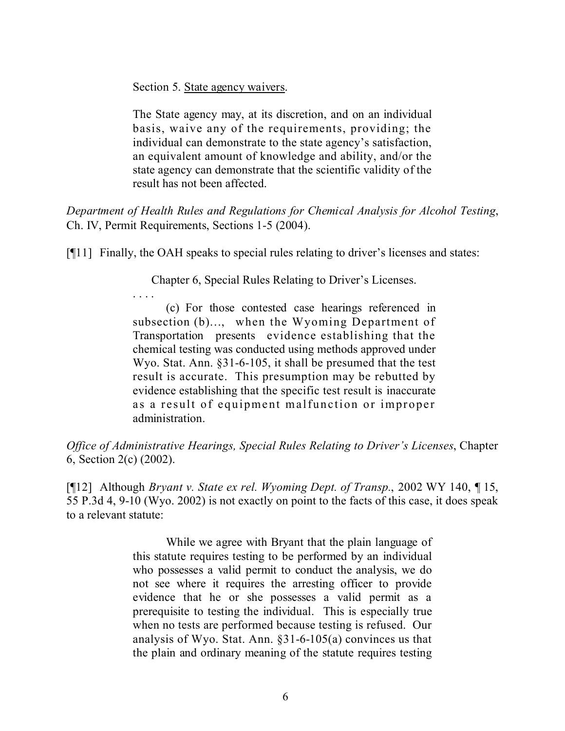Section 5. State agency waivers.

. . . .

The State agency may, at its discretion, and on an individual basis, waive any of the requirements, providing; the individual can demonstrate to the state agency's satisfaction, an equivalent amount of knowledge and ability, and/or the state agency can demonstrate that the scientific validity of the result has not been affected.

*Department of Health Rules and Regulations for Chemical Analysis for Alcohol Testing*, Ch. IV, Permit Requirements, Sections 1-5 (2004).

[¶11] Finally, the OAH speaks to special rules relating to driver's licenses and states:

Chapter 6, Special Rules Relating to Driver's Licenses.

(c) For those contested case hearings referenced in subsection (b)…, when the Wyoming Department of Transportation presents evidence establishing that the chemical testing was conducted using methods approved under Wyo. Stat. Ann. §31-6-105, it shall be presumed that the test result is accurate. This presumption may be rebutted by evidence establishing that the specific test result is inaccurate as a result of equipment malfunction or improper administration.

*Office of Administrative Hearings, Special Rules Relating to Driver's Licenses*, Chapter 6, Section 2(c) (2002).

[¶12] Although *Bryant v. State ex rel. Wyoming Dept. of Transp.*, 2002 WY 140, ¶ 15, 55 P.3d 4, 9-10 (Wyo. 2002) is not exactly on point to the facts of this case, it does speak to a relevant statute:

> While we agree with Bryant that the plain language of this statute requires testing to be performed by an individual who possesses a valid permit to conduct the analysis, we do not see where it requires the arresting officer to provide evidence that he or she possesses a valid permit as a prerequisite to testing the individual. This is especially true when no tests are performed because testing is refused. Our analysis of Wyo. Stat. Ann. §31-6-105(a) convinces us that the plain and ordinary meaning of the statute requires testing